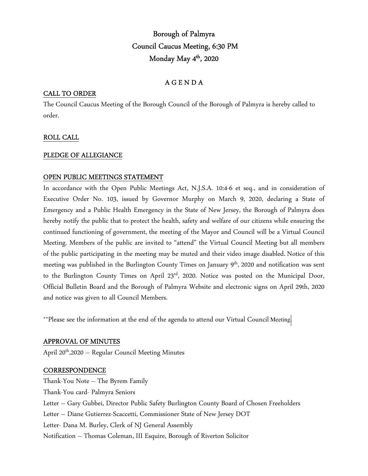# Borough of Palmyra Council Caucus Meeting, 6:30 PM Monday May  $4<sup>th</sup>$ , 2020

# A G E N D A

## CALL TO ORDER

The Council Caucus Meeting of the Borough Council of the Borough of Palmyra is hereby called to order.

# ROLL CALL

# PLEDGE OF ALLEGIANCE

## OPEN PUBLIC MEETINGS STATEMENT

In accordance with the Open Public Meetings Act, N.J.S.A. 10:4-6 et seq., and in consideration of Executive Order No. 103, issued by Governor Murphy on March 9, 2020, declaring a State of Emergency and a Public Health Emergency in the State of New Jersey, the Borough of Palmyra does hereby notify the public that to protect the health, safety and welfare of our citizens while ensuring the continued functioning of government, the meeting of the Mayor and Council will be a Virtual Council Meeting. Members of the public are invited to "attend" the Virtual Council Meeting but all members of the public participating in the meeting may be muted and their video image disabled. Notice of this meeting was published in the Burlington County Times on January 9<sup>th</sup>, 2020 and notification was sent to the Burlington County Times on April 23<sup>rd</sup>, 2020. Notice was posted on the Municipal Door, Official Bulletin Board and the Borough of Palmyra Website and electronic signs on April 29th, 2020 and notice was given to all Council Members.

\*\*Please see the information at the end of the agenda to attend our Virtual Council Meeting.

# APPROVAL OF MINUTES

April 20th,2020 – Regular Council Meeting Minutes

# **CORRESPONDENCE**

Thank-You Note – The Byrem Family Thank-You card- Palmyra Seniors Letter – Gary Gubbei, Director Public Safety Burlington County Board of Chosen Freeholders Letter – Diane Gutierrez-Scaccetti, Commissioner State of New Jersey DOT Letter- Dana M. Burley, Clerk of NJ General Assembly Notification – Thomas Coleman, III Esquire, Borough of Riverton Solicitor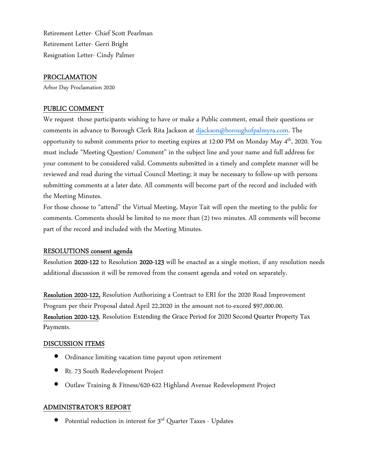Retirement Letter- Chief Scott Pearlman Retirement Letter- Gerri Bright Resignation Letter- Cindy Palmer

### PROCLAMATION

Arbor Day Proclamation 2020

#### PUBLIC COMMENT

We request those participants wishing to have or make a Public comment, email their questions or comments in advance to Borough Clerk Rita Jackson at djackson@boroughofpalmyra.com. The opportunity to submit comments prior to meeting expires at 12:00 PM on Monday May 4th, 2020. You must include "Meeting Question/ Comment" in the subject line and your name and full address for your comment to be considered valid. Comments submitted in a timely and complete manner will be reviewed and read during the virtual Council Meeting; it may be necessary to follow-up with persons submitting comments at a later date. All comments will become part of the record and included with the Meeting Minutes.

For those choose to "attend" the Virtual Meeting, Mayor Tait will open the meeting to the public for comments. Comments should be limited to no more than (2) two minutes. All comments will become part of the record and included with the Meeting Minutes.

#### RESOLUTIONS consent agenda

Resolution 2020-122 to Resolution 2020-123 will be enacted as a single motion, if any resolution needs additional discussion it will be removed from the consent agenda and voted on separately.

Resolution 2020-122, Resolution Authorizing a Contract to ERI for the 2020 Road Improvement Program per their Proposal dated April 22,2020 in the amount not-to-exceed \$97,000.00. Resolution 2020-123, Resolution Extending the Grace Period for 2020 Second Quarter Property Tax Payments.

#### DISCUSSION ITEMS

- Ordinance limiting vacation time payout upon retirement
- Rt. 73 South Redevelopment Project
- Outlaw Training & Fitness/620-622 Highland Avenue Redevelopment Project

#### ADMINISTRATOR'S REPORT

• Potential reduction in interest for  $3^{rd}$  Quarter Taxes - Updates